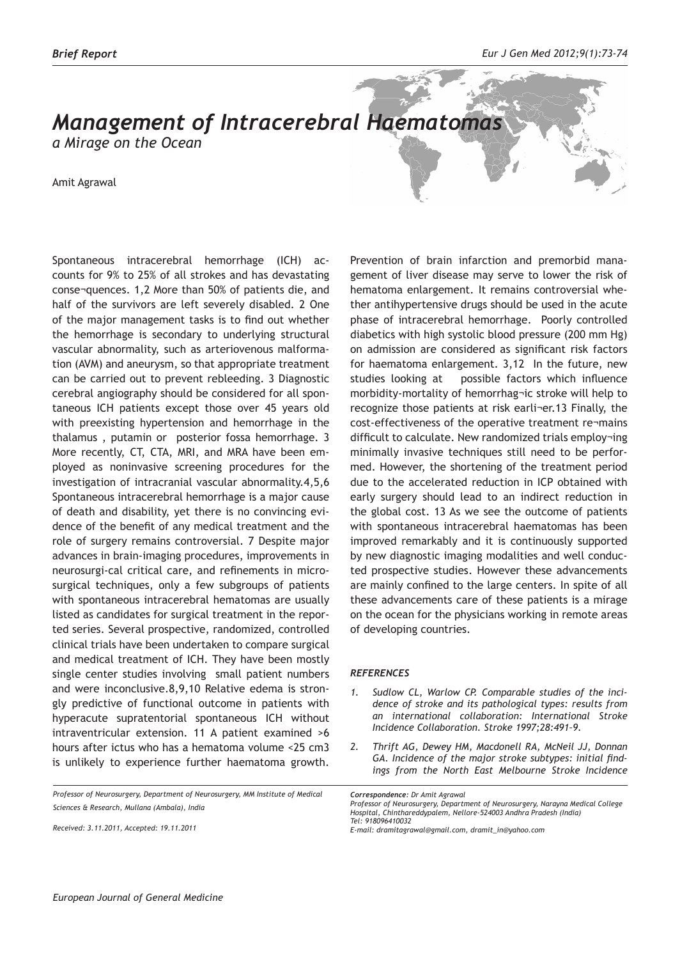## *Management of Intracerebral Haematomas*

*a Mirage on the Ocean* 

Amit Agrawal

Spontaneous intracerebral hemorrhage (ICH) accounts for 9% to 25% of all strokes and has devastating conse¬quences. 1,2 More than 50% of patients die, and half of the survivors are left severely disabled. 2 One of the major management tasks is to find out whether the hemorrhage is secondary to underlying structural vascular abnormality, such as arteriovenous malformation (AVM) and aneurysm, so that appropriate treatment can be carried out to prevent rebleeding. 3 Diagnostic cerebral angiography should be considered for all spontaneous ICH patients except those over 45 years old with preexisting hypertension and hemorrhage in the thalamus , putamin or posterior fossa hemorrhage. 3 More recently, CT, CTA, MRI, and MRA have been employed as noninvasive screening procedures for the investigation of intracranial vascular abnormality.4,5,6 Spontaneous intracerebral hemorrhage is a major cause of death and disability, yet there is no convincing evidence of the benefit of any medical treatment and the role of surgery remains controversial. 7 Despite major advances in brain-imaging procedures, improvements in neurosurgi-cal critical care, and refinements in microsurgical techniques, only a few subgroups of patients with spontaneous intracerebral hematomas are usually listed as candidates for surgical treatment in the reported series. Several prospective, randomized, controlled clinical trials have been undertaken to compare surgical and medical treatment of ICH. They have been mostly single center studies involving small patient numbers and were inconclusive.8,9,10 Relative edema is strongly predictive of functional outcome in patients with hyperacute supratentorial spontaneous ICH without intraventricular extension. 11 A patient examined >6 hours after ictus who has a hematoma volume <25 cm3 is unlikely to experience further haematoma growth.

*Professor of Neurosurgery, Department of Neurosurgery, MM Institute of Medical Sciences & Research, Mullana (Ambala), India*

*Received: 3.11.2011, Accepted: 19.11.2011*

Prevention of brain infarction and premorbid management of liver disease may serve to lower the risk of hematoma enlargement. It remains controversial whether antihypertensive drugs should be used in the acute phase of intracerebral hemorrhage. Poorly controlled diabetics with high systolic blood pressure (200 mm Hg) on admission are considered as significant risk factors for haematoma enlargement. 3,12 In the future, new studies looking at possible factors which influence morbidity-mortality of hemorrhag¬ic stroke will help to recognize those patients at risk earli¬er.13 Finally, the cost-effectiveness of the operative treatment re¬mains difficult to calculate. New randomized trials employ¬ing minimally invasive techniques still need to be performed. However, the shortening of the treatment period due to the accelerated reduction in ICP obtained with early surgery should lead to an indirect reduction in the global cost. 13 As we see the outcome of patients with spontaneous intracerebral haematomas has been improved remarkably and it is continuously supported by new diagnostic imaging modalities and well conducted prospective studies. However these advancements are mainly confined to the large centers. In spite of all these advancements care of these patients is a mirage on the ocean for the physicians working in remote areas of developing countries.

## *REFERENCES*

- *1. Sudlow CL, Warlow CP. Comparable studies of the incidence of stroke and its pathological types: results from an international collaboration: International Stroke Incidence Collaboration. Stroke 1997;28:491–9.*
- *2. Thrift AG, Dewey HM, Macdonell RA, McNeil JJ, Donnan GA. Incidence of the major stroke subtypes: initial findings from the North East Melbourne Stroke Incidence*

*Correspondence: Dr Amit Agrawal Professor of Neurosurgery, Department of Neurosurgery, Narayna Medical College Hospital, Chinthareddypalem, Nellore-524003 Andhra Pradesh (India) Tel: 918096410032*

*E-mail: dramitagrawal@gmail.com, dramit\_in@yahoo.com*